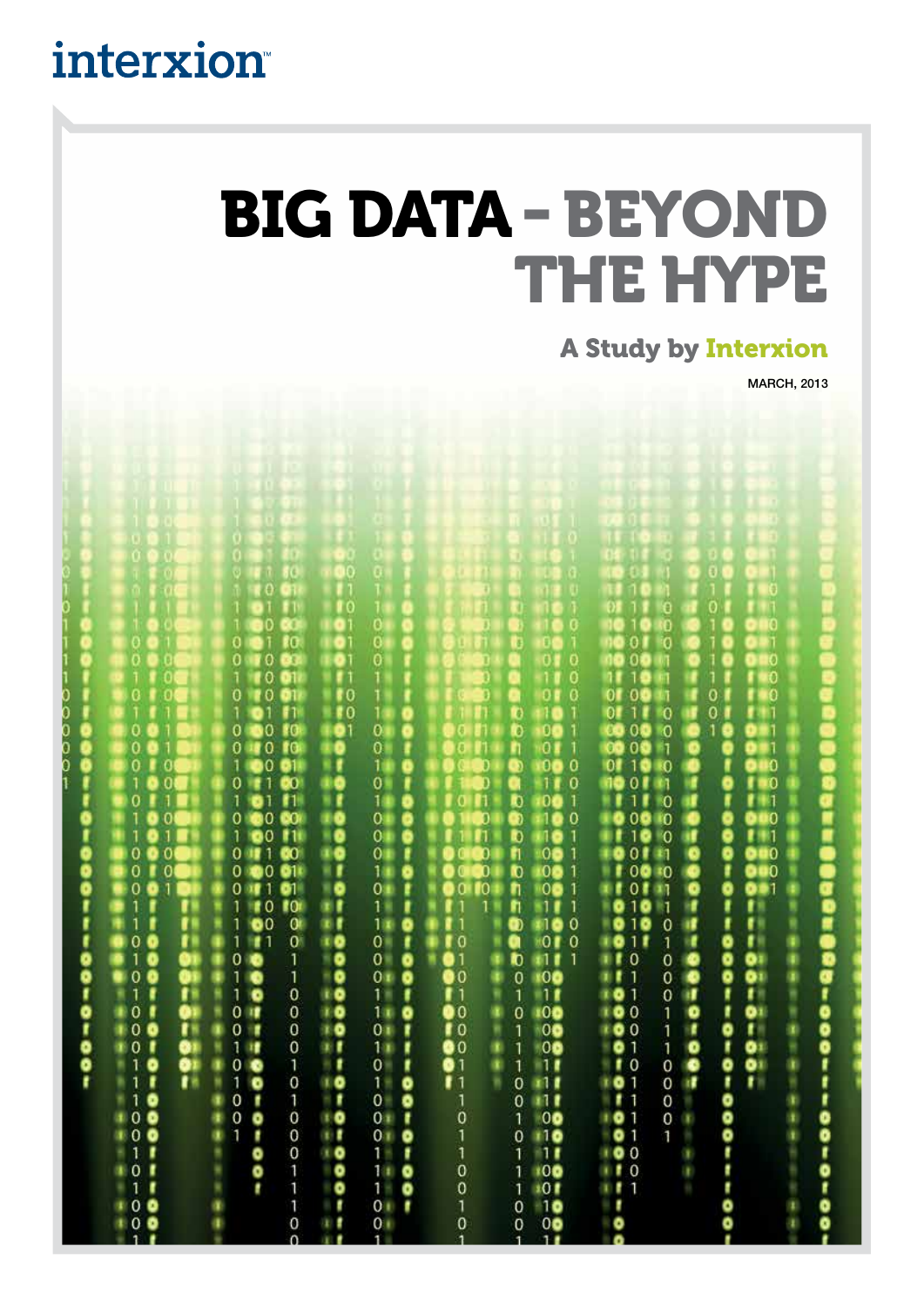### interxion

# BIG DATA- BEYOND THE HYPE

### A Study by Interxion

MARCH, 2013

| $\frac{80}{60}$<br>۰<br>۰ | 001010001<br>0001<br>1<br>$\frac{0}{0}$<br>,<br>۰<br>$\begin{smallmatrix}0\\1\end{smallmatrix}$<br>т<br>$\blacksquare$<br>$\Omega$<br>۰<br>1<br>0<br>$\circ$<br>۰<br>$\overline{0}$<br>$\bullet$<br>ī<br>۰<br>$\overline{1}$<br>$\overline{0}$<br>۰<br>٠<br>$\overline{1}$<br>ı<br>n<br>$\begin{array}{c} 1 \\ 0 \\ 1 \\ 0 \end{array}$<br>--000-<br>n<br>۰<br>۰<br>199191-0193<br>٠<br>$\frac{1}{0}$<br>Ä<br>۰<br>$\frac{100}{101}$<br>$\blacksquare$ 1 | 80<br>G1<br>$\frac{1}{60}$<br>Ö<br>ń<br>o<br>e3<br>01<br>$\frac{0}{1}$<br>$\bullet$<br>$\blacksquare$<br>$\frac{10}{10}$<br>Oli<br>0<br>Ÿ.<br>m<br> 0 <br>00<br>$\overline{0}$<br>10<br>$0 + 0$<br>oii<br>CO <sub>1</sub><br>$0 - 1$<br>$1 - 01$<br>m<br>0 <sub>0</sub><br>$\frac{1}{11}$<br>$\frac{1}{0}$ 0 0<br>CO <sub>1</sub><br>$0 \nparallel$<br>$0 \bullet 0$<br><b>O</b> li<br>0 11<br>$\bullet$<br>$1$ $10$<br><b>TO</b><br>1 00<br>$\alpha$<br>₩<br>$\overline{\mathbf{O}}$<br>$\mathbf{H}$ 1<br>$\mathbf 0$<br>۰<br>0<br>$\frac{1}{1}$<br>۰<br>ī<br>۰<br>۰<br>$\pmb{\mathsf{0}}$<br>$\bullet$<br>R<br>1<br>$\begin{smallmatrix} 0 & 1 \\ 0 & 1 \end{smallmatrix}$<br>$\mathbf 0$<br>$\mathbf 0$<br>۰<br>11<br>$\begin{smallmatrix}0\\1\end{smallmatrix}$<br>×<br>$\boldsymbol{0}$<br>٠<br>۰ | 00101111001<br>$-10001101010100$<br><b>OFFITOOF</b><br>ို<br>Ò<br>ó<br>ó<br>ī<br>$\begin{array}{c} 1 \\ 0 \end{array}$<br>Ô<br>10<br>ŧ<br><b>TI</b><br>11<br>ı<br>18<br>ō<br>œτ<br>80<br>$\overline{\mathbf{0}}$<br>ı<br>0 <sub>1</sub><br>ó<br>88888<br>$0$ ii<br>۰<br>18<br>ı<br>18<br>۰<br>0 <sub>1</sub><br>Ŧ<br>3 I<br>1 E<br>٠<br>91<br>$\overline{\mathbf{0}}$<br>٠ | 89888<br>Ď<br><b>THUO 01010</b><br>595<br>O<br>Ō<br>ø<br>T<br>1<br>0<br>0<br>0<br>0<br>ā<br>D<br>C<br>۵<br>D<br>n<br>O<br>$\sqrt{0}$<br>$\bullet$<br><b>OO</b><br>'n<br>$\overline{1}$<br>$\mathbf{u}$<br>$\overline{1}$<br>81 D T<br>n<br>۰<br>1000<br>$\mathbf{I}$<br>$\frac{10}{10}$<br>0000<br>ā<br>۰<br>b<br>紅土<br>$\overline{1}$<br>۰<br>$\bullet$<br>100<br>0<br>۰<br>Ī١<br>$\overline{1}$<br>ΠĨ<br>o<br>100<br>$\bullet$<br>۰<br>$\mathbf{0}$<br>ï<br>00<br>٠<br>ï<br>$\bullet$<br>00<br>٠<br>$\bullet$ 1<br>$\overline{1}$<br>$\mathbf{u}$<br>۰ | ●初心<br>100010<br>ī.<br>Ö<br>$\frac{10}{00}$<br>1000110001100011000110001100011000110001100011000110001100011000110001100011000110001100011000110001<br>٥<br>ı<br>ı<br>٥<br>ü<br>$\overline{0}$ $\overline{1}$<br>10<br>e<br>ø<br>۰<br>ī<br>ù<br>90<br>o<br>if<br>$\bullet$<br>۰<br>œ.<br>0111<br>o<br>10101<br>Ħ<br>10<br>u<br>₩<br>$\begin{smallmatrix} 0 \\ 1 \end{smallmatrix}$<br>$\overline{11}$<br>u<br>10<br>۰<br>$\blacksquare$<br>$\mathbf 0$<br>$\bf{0}$<br>$\ddot{\mathbf{0}}$<br>$\blacksquare$<br>$\overline{0}$<br>۰<br><b>EO1</b><br>$-0.5$<br>$\begin{array}{c} 0 \\ 1 \\ 1 \end{array}$<br>100<br>100<br>101<br>$\bullet$<br>۰<br>$\blacksquare$ $\blacksquare$ $\blacksquare$<br>$\mathbf 0$ | ٥<br>i<br>0 10 0 10 10 10 11 10<br>ō<br>-0-0000-<br>6<br>۵<br>i<br>i<br>$\bullet \bullet \circ$<br>000<br>٠<br>---------<br><b>Bases-coo-</b><br>0.1<br>۰<br>n<br>n<br>计编译语言计语言语言<br>m<br>o۱<br>Ō1<br>m<br>ō۱<br>m<br>Ö٤<br>$\bullet$ |
|---------------------------|----------------------------------------------------------------------------------------------------------------------------------------------------------------------------------------------------------------------------------------------------------------------------------------------------------------------------------------------------------------------------------------------------------------------------------------------------------|--------------------------------------------------------------------------------------------------------------------------------------------------------------------------------------------------------------------------------------------------------------------------------------------------------------------------------------------------------------------------------------------------------------------------------------------------------------------------------------------------------------------------------------------------------------------------------------------------------------------------------------------------------------------------------------------------------------------------------------------------------------------------------------------------------|----------------------------------------------------------------------------------------------------------------------------------------------------------------------------------------------------------------------------------------------------------------------------------------------------------------------------------------------------------------------------|----------------------------------------------------------------------------------------------------------------------------------------------------------------------------------------------------------------------------------------------------------------------------------------------------------------------------------------------------------------------------------------------------------------------------------------------------------------------------------------------------------------------------------------------------------|----------------------------------------------------------------------------------------------------------------------------------------------------------------------------------------------------------------------------------------------------------------------------------------------------------------------------------------------------------------------------------------------------------------------------------------------------------------------------------------------------------------------------------------------------------------------------------------------------------------------------------------------------------------------------------------------------------------|---------------------------------------------------------------------------------------------------------------------------------------------------------------------------------------------------------------------------------------|
| ٠                         | i<br>m<br>$\frac{1}{10}$<br>100<br>1<br>n<br>101<br>11<br>100<br>100<br>$-1.1$                                                                                                                                                                                                                                                                                                                                                                           | 1<br>$\begin{matrix} 0 \\ 1 \end{matrix}$<br>٠<br>$\bullet$<br>$\ddot{\mathbf{0}}$<br>٠<br>$\overline{0}$<br>۰<br>0<br>٠<br>1<br>$\mathbf 0$<br>٠<br>٠<br>$\begin{array}{c} 0 \\ 1 \\ 1 \end{array}$<br>۰<br>٠<br>٠<br>o<br>k<br>٠<br>1<br>۰<br>٠<br>$\mathbf{O}$                                                                                                                                                                                                                                                                                                                                                                                                                                                                                                                                      | $\frac{1}{0}$<br>$\overline{\phantom{a}}$<br>۰<br>- 1<br>$\ddot{\phantom{a}}$<br>$\ddot{\phantom{0}}$<br>٠<br>$0 +$<br>$\mathbf{r}$<br>01<br>۰<br>$\overline{6}$<br>1 <sub>1</sub><br>٠<br>$\bullet$<br>Ţ.<br>۰<br>ō<br>11<br>۰<br>÷<br>$0 +$<br>٠<br>a p<br>$\overline{0}$<br>. .                                                                                         | $\mathbf{1}$<br>$\mathbf 0$<br>m r<br>٠<br>$\mathbf{1}$<br>$\pmb{0}$<br>朋友<br>00<br>$\begin{smallmatrix}0\\1\end{smallmatrix}$<br>1<br>110<br>$\mathbf 0$<br>$\begin{array}{c} 1 \\ 0 \\ 0 \end{array}$<br>111<br>$\mathbf{1}$<br>$\overline{1}$<br>100<br>101<br>1<br>$\mathbf{1}$<br>10<br>$\mathbf{0}$<br>0<br>00<br>$\mathbf{0}$                                                                                                                                                                                                                     | 101<br>×,<br>0<br>$\blacksquare$<br>0<br>101<br>$\circ$<br>$\mathbf{r}$<br>$\mathbf{1}$<br>- 0-1<br>×<br>ł<br>$\bullet$<br>$\blacksquare$<br>T 1 1<br>$\alpha$<br>11<br>ಂ                                                                                                                                                                                                                                                                                                                                                                                                                                                                                                                                      | -0-0-<br>m<br>ō<br>۰<br>۰<br>×<br>ŧ<br>۰<br>-- 0-<br>i<br>š<br>٠<br>×<br>×<br>۰<br>۰<br>۰<br>×<br>۰                                                                                                                                   |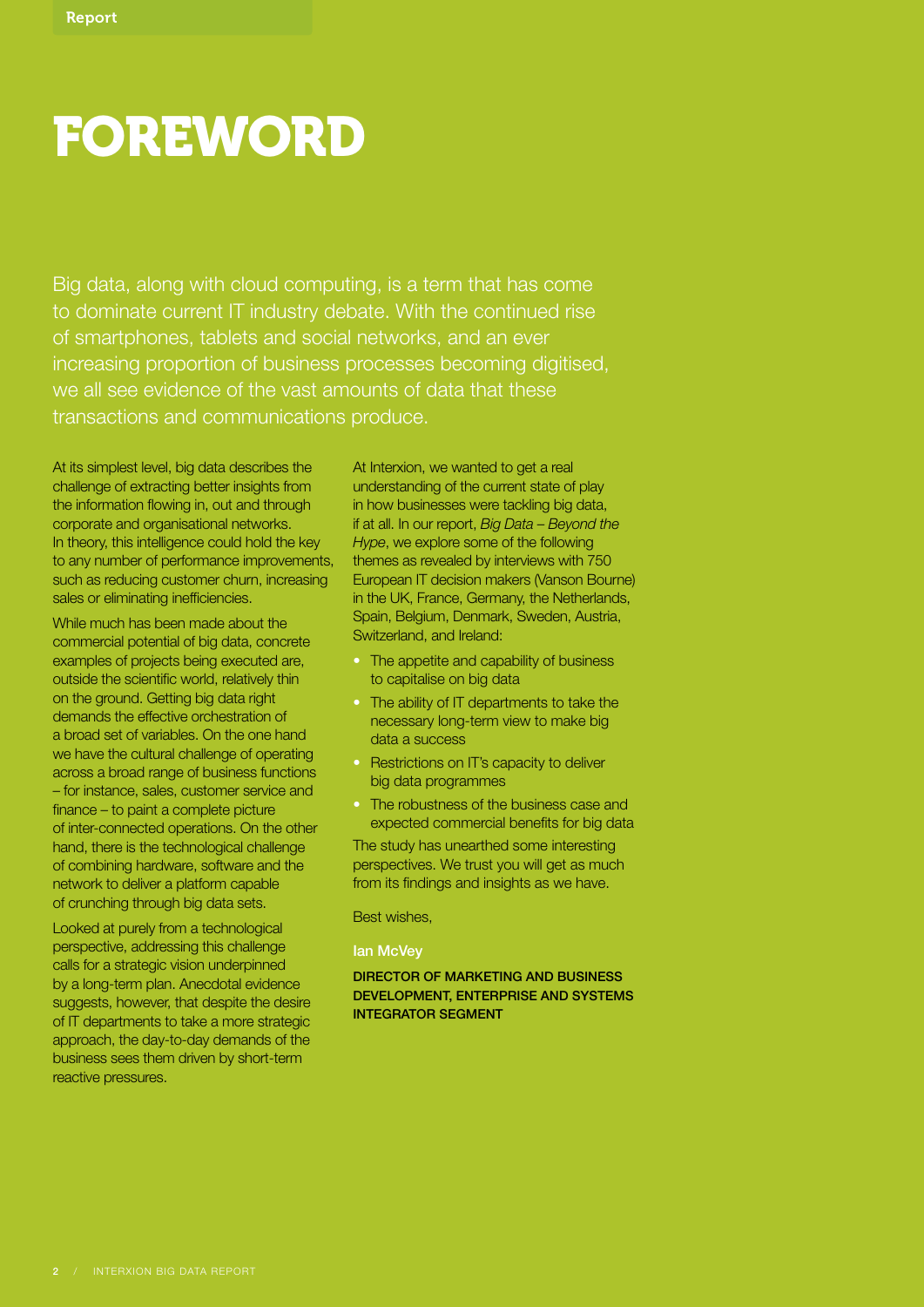## FOREWORD

Big data, along with cloud computing, is a term that has come to dominate current IT industry debate. With the continued rise of smartphones, tablets and social networks, and an ever increasing proportion of business processes becoming digitised, we all see evidence of the vast amounts of data that these transactions and communications produce.

At its simplest level, big data describes the challenge of extracting better insights from the information flowing in, out and through corporate and organisational networks. In theory, this intelligence could hold the key to any number of performance improvements, such as reducing customer churn, increasing sales or eliminating inefficiencies.

While much has been made about the commercial potential of big data, concrete examples of projects being executed are, outside the scientific world, relatively thin on the ground. Getting big data right demands the effective orchestration of a broad set of variables. On the one hand we have the cultural challenge of operating across a broad range of business functions – for instance, sales, customer service and finance – to paint a complete picture of inter-connected operations. On the other hand, there is the technological challenge of combining hardware, software and the network to deliver a platform capable of crunching through big data sets.

Looked at purely from a technological perspective, addressing this challenge calls for a strategic vision underpinned by a long-term plan. Anecdotal evidence suggests, however, that despite the desire of IT departments to take a more strategic approach, the day-to-day demands of the business sees them driven by short-term reactive pressures.

At Interxion, we wanted to get a real understanding of the current state of play in how businesses were tackling big data, if at all. In our report, *Big Data – Beyond the Hype*, we explore some of the following themes as revealed by interviews with 750 European IT decision makers (Vanson Bourne) in the UK, France, Germany, the Netherlands, Spain, Belgium, Denmark, Sweden, Austria, Switzerland, and Ireland:

- The appetite and capability of business to capitalise on big data
- The ability of IT departments to take the necessary long-term view to make big data a success
- Restrictions on IT's capacity to deliver big data programmes
- The robustness of the business case and expected commercial benefits for big data

The study has unearthed some interesting perspectives. We trust you will get as much from its findings and insights as we have.

Best wishes,

#### **Ian McVev**

DIRECTOR OF MARKETING AND BUSINESS DEVELOPMENT, ENTERPRISE AND SYSTEMS INTEGRATOR SEGMENT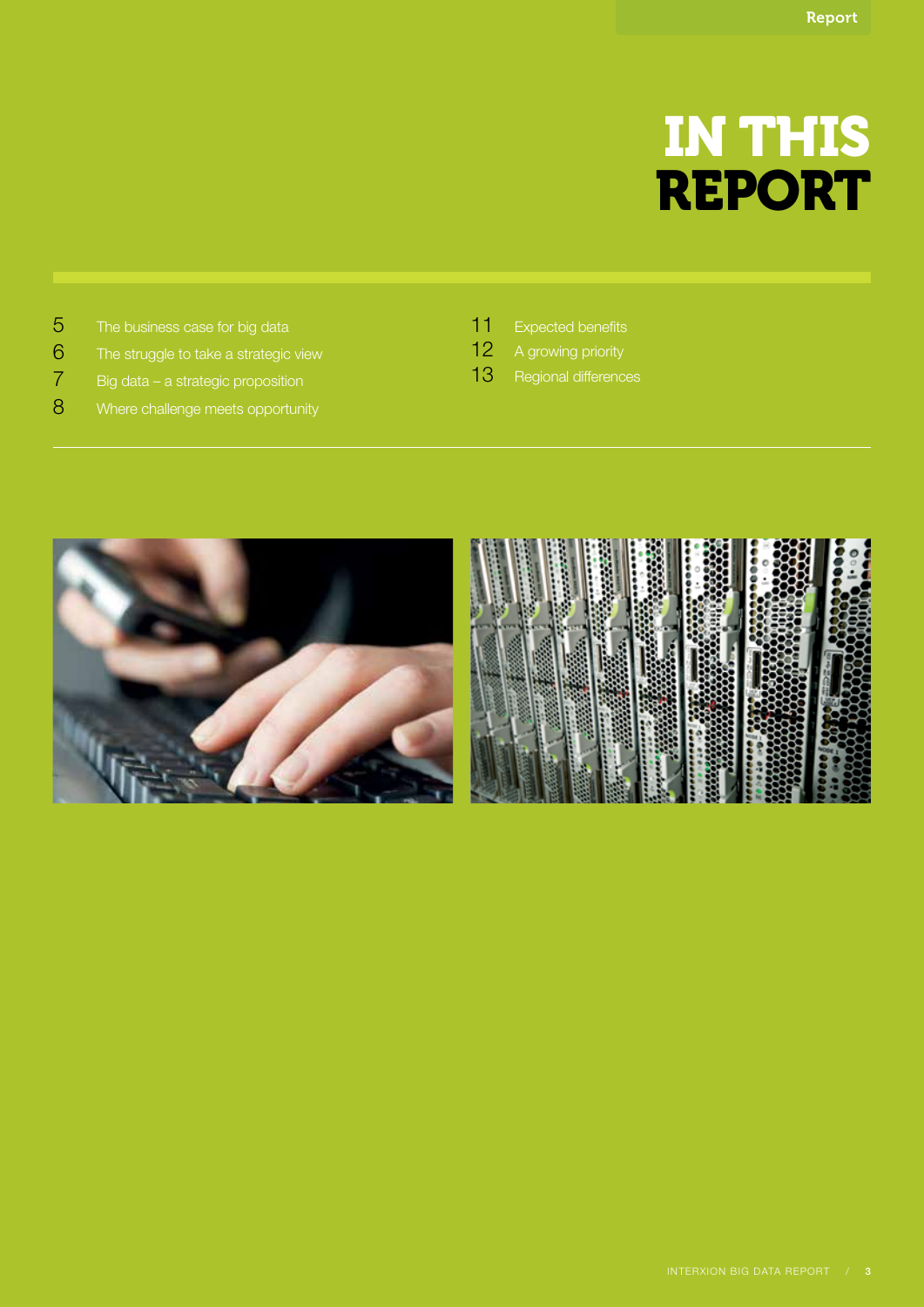### IN THIS REPORT

- 5 The business case for big data 6 The struggle to take a strategic view
- 7 Big data a strategic proposition
- 8 Where challenge meets opportunity
- 11 Expected benefits
- 12 A growing priority
- 13 Regional differences

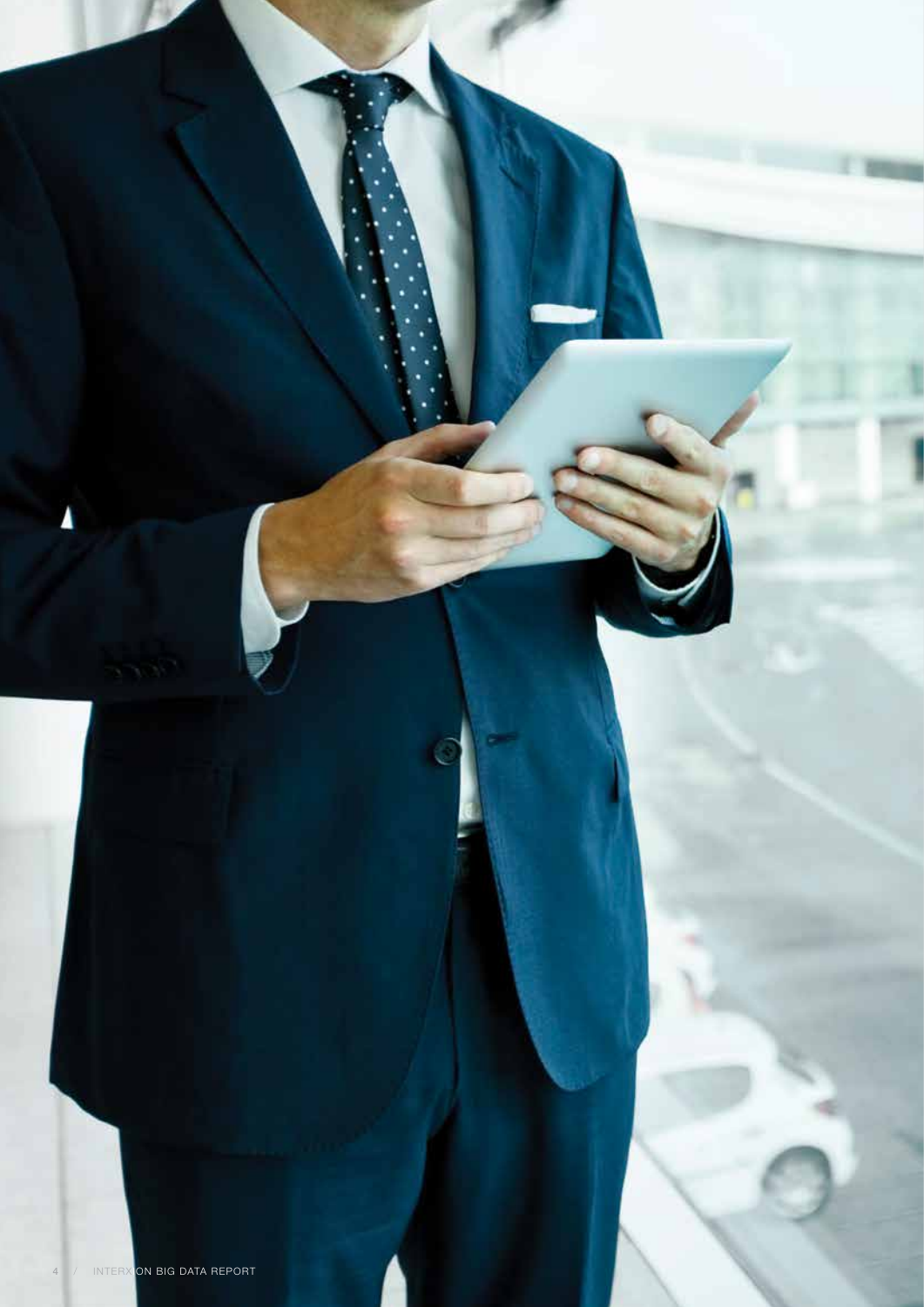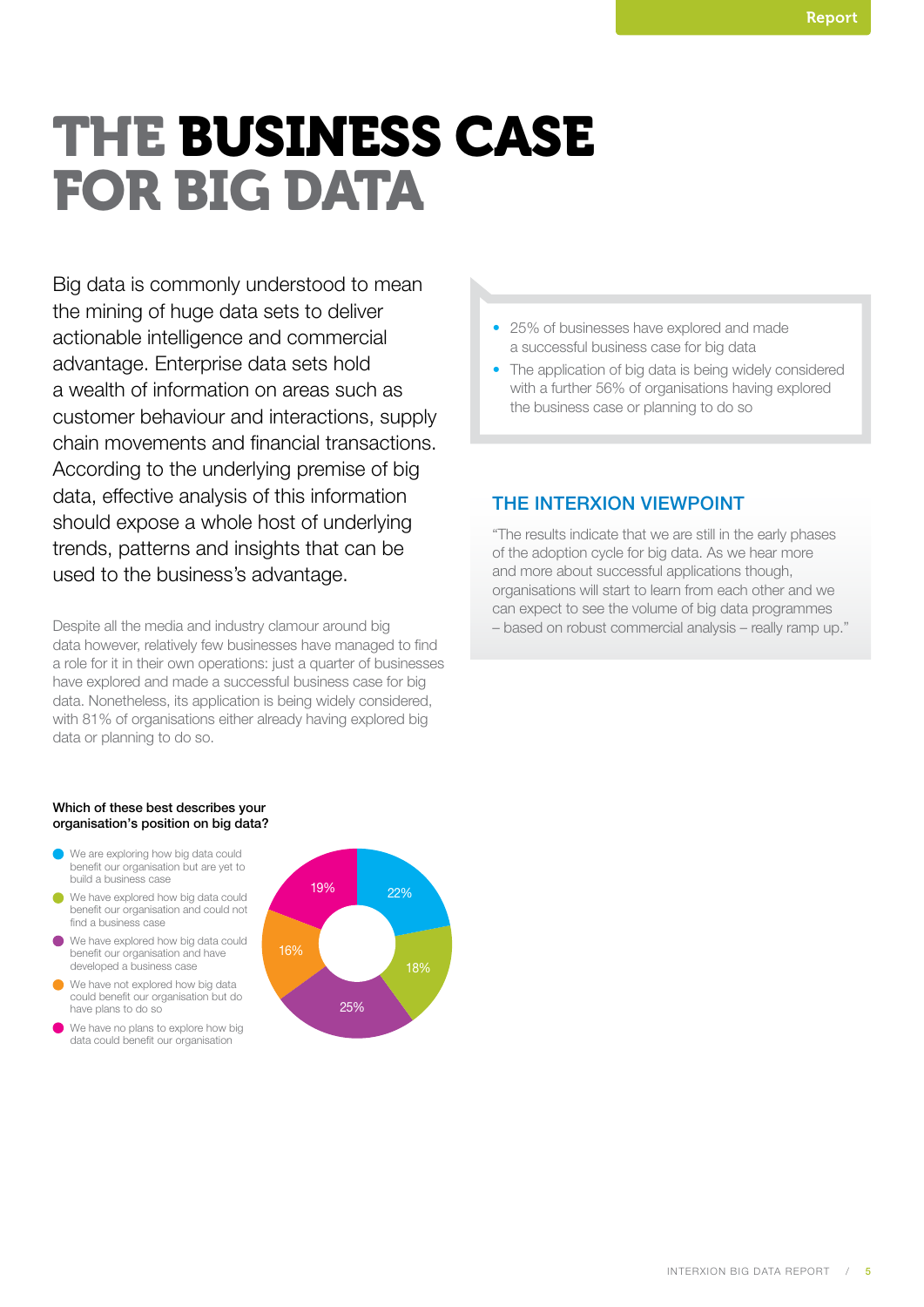## THE BUSINESS CASE FOR BIG DATA

Big data is commonly understood to mean the mining of huge data sets to deliver actionable intelligence and commercial advantage. Enterprise data sets hold a wealth of information on areas such as customer behaviour and interactions, supply chain movements and financial transactions. According to the underlying premise of big data, effective analysis of this information should expose a whole host of underlying trends, patterns and insights that can be used to the business's advantage.

Despite all the media and industry clamour around big data however, relatively few businesses have managed to find a role for it in their own operations: just a quarter of businesses have explored and made a successful business case for big data. Nonetheless, its application is being widely considered, with 81% of organisations either already having explored big data or planning to do so.

- 25% of businesses have explored and made a successful business case for big data
- The application of big data is being widely considered with a further 56% of organisations having explored the business case or planning to do so

### THE INTERXION VIEWPOINT

"The results indicate that we are still in the early phases of the adoption cycle for big data. As we hear more and more about successful applications though, organisations will start to learn from each other and we can expect to see the volume of big data programmes – based on robust commercial analysis – really ramp up."

#### Which of these best describes your organisation's position on big data?

- We are exploring how big data could benefit our organisation but are yet to build a business case
- We have explored how big data could benefit our organisation and could not find a business case
- We have explored how big data could benefit our organisation and have developed a business case
- We have not explored how big data could benefit our organisation but do have plans to do so
- We have no plans to explore how big data could benefit our organisation

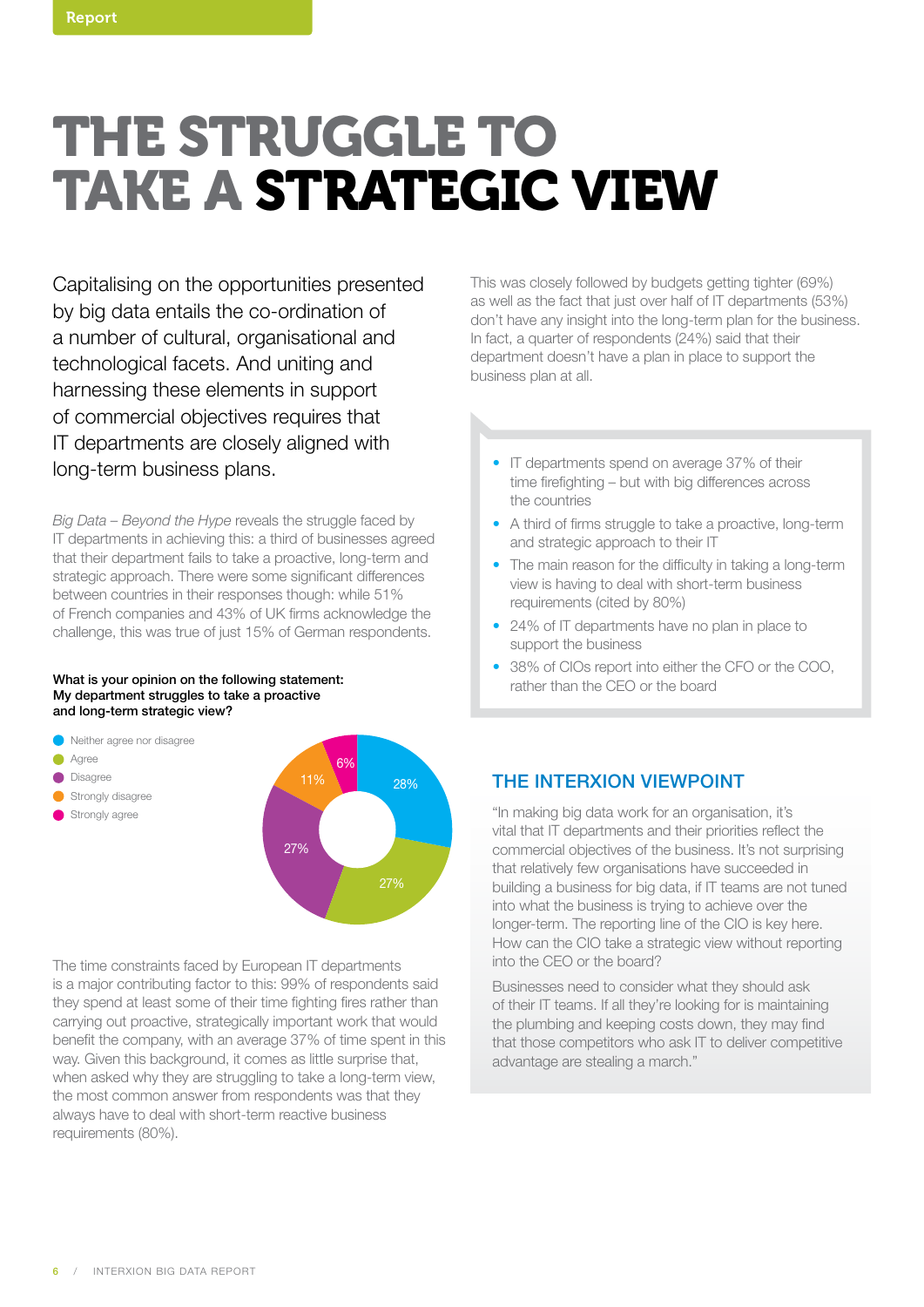## THE STRUGGLE TO TAKE A STRATEGIC VIEW

Capitalising on the opportunities presented by big data entails the co-ordination of a number of cultural, organisational and technological facets. And uniting and harnessing these elements in support of commercial objectives requires that IT departments are closely aligned with long-term business plans.

*Big Data – Beyond the Hype* reveals the struggle faced by IT departments in achieving this: a third of businesses agreed that their department fails to take a proactive, long-term and strategic approach. There were some significant differences between countries in their responses though: while 51% of French companies and 43% of UK firms acknowledge the challenge, this was true of just 15% of German respondents.

#### What is your opinion on the following statement: My department struggles to take a proactive and long-term strategic view?



The time constraints faced by European IT departments is a major contributing factor to this: 99% of respondents said they spend at least some of their time fighting fires rather than carrying out proactive, strategically important work that would benefit the company, with an average 37% of time spent in this way. Given this background, it comes as little surprise that, when asked why they are struggling to take a long-term view, the most common answer from respondents was that they always have to deal with short-term reactive business requirements (80%).

This was closely followed by budgets getting tighter (69%) as well as the fact that just over half of IT departments (53%) don't have any insight into the long-term plan for the business. In fact, a quarter of respondents (24%) said that their department doesn't have a plan in place to support the business plan at all.

- IT departments spend on average 37% of their time firefighting – but with big differences across the countries
- A third of firms struggle to take a proactive, long-term and strategic approach to their IT
- The main reason for the difficulty in taking a long-term view is having to deal with short-term business requirements (cited by 80%)
- 24% of IT departments have no plan in place to support the business
- 38% of CIOs report into either the CFO or the COO, rather than the CEO or the board

### THE INTERXION VIEWPOINT

"In making big data work for an organisation, it's vital that IT departments and their priorities reflect the commercial objectives of the business. It's not surprising that relatively few organisations have succeeded in building a business for big data, if IT teams are not tuned into what the business is trying to achieve over the longer-term. The reporting line of the CIO is key here. How can the CIO take a strategic view without reporting into the CEO or the board?

Businesses need to consider what they should ask of their IT teams. If all they're looking for is maintaining the plumbing and keeping costs down, they may find that those competitors who ask IT to deliver competitive advantage are stealing a march."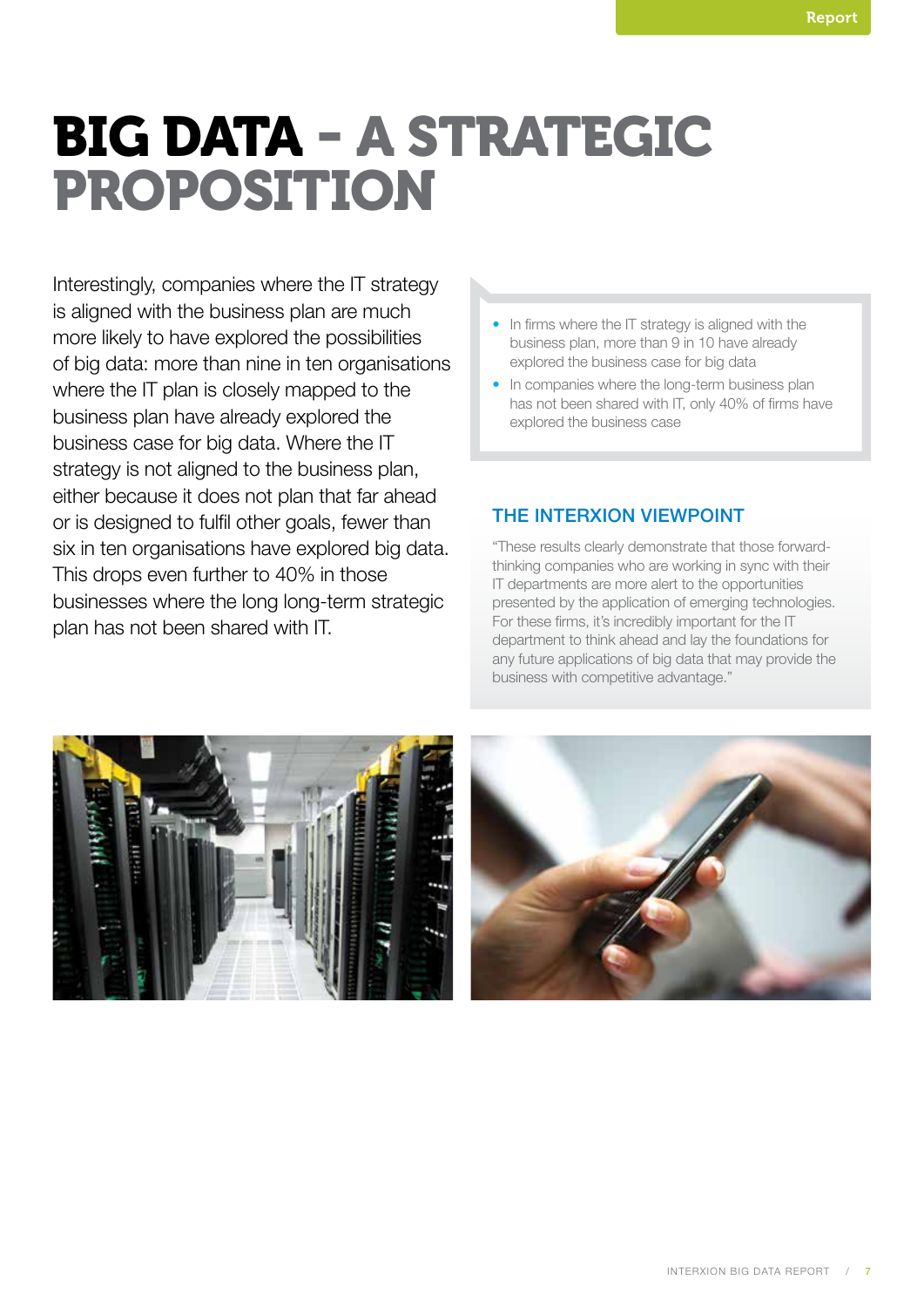## BIG DATA - A STRATEGIC PROPOSITION

Interestingly, companies where the IT strategy is aligned with the business plan are much more likely to have explored the possibilities of big data: more than nine in ten organisations where the IT plan is closely mapped to the business plan have already explored the business case for big data. Where the IT strategy is not aligned to the business plan, either because it does not plan that far ahead or is designed to fulfil other goals, fewer than six in ten organisations have explored big data. This drops even further to 40% in those businesses where the long long-term strategic plan has not been shared with IT.

- In firms where the IT strategy is aligned with the business plan, more than 9 in 10 have already explored the business case for big data
- In companies where the long-term business plan has not been shared with IT, only 40% of firms have explored the business case

### THE INTERXION VIEWPOINT

"These results clearly demonstrate that those forwardthinking companies who are working in sync with their IT departments are more alert to the opportunities presented by the application of emerging technologies. For these firms, it's incredibly important for the IT department to think ahead and lay the foundations for any future applications of big data that may provide the business with competitive advantage."



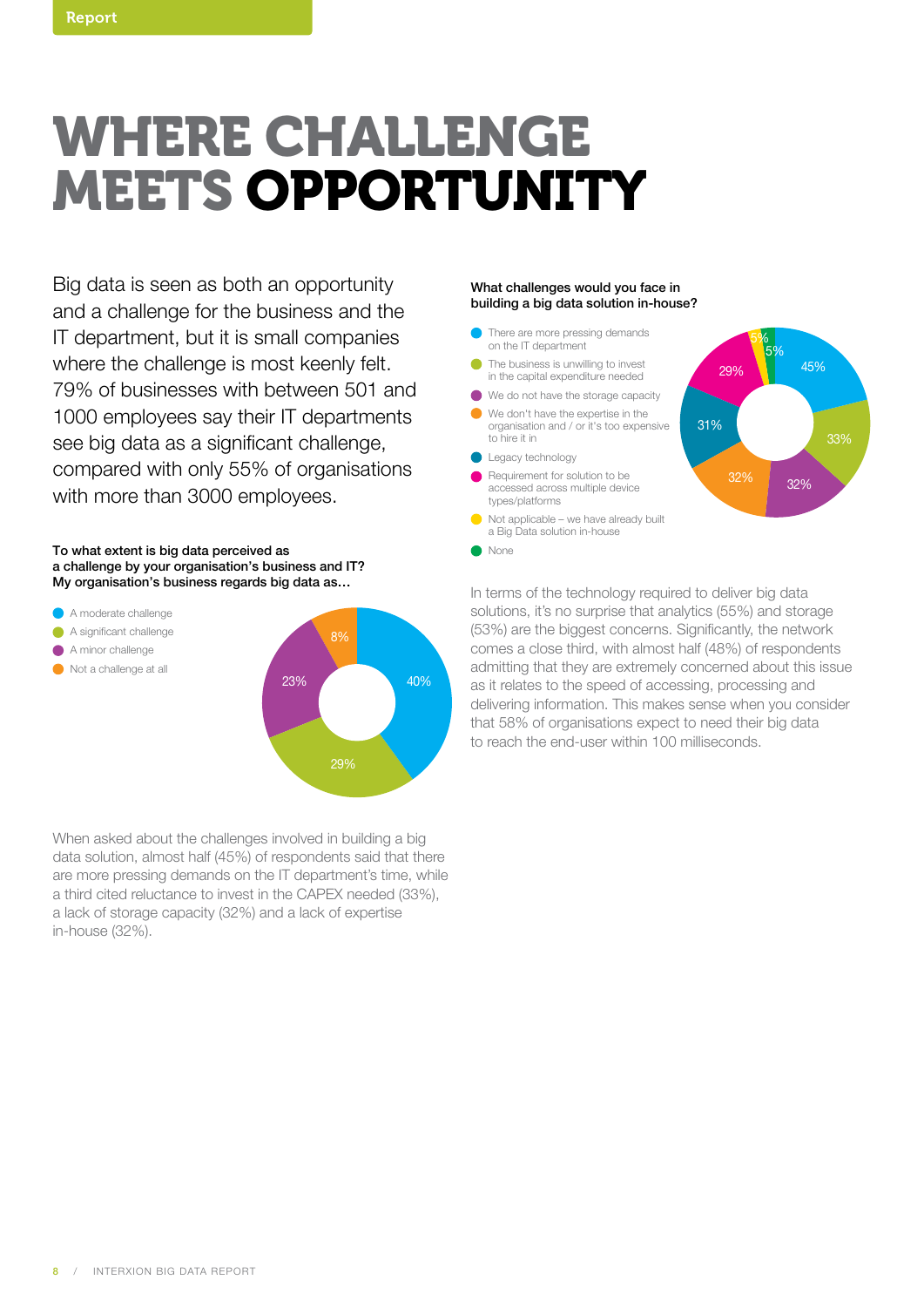## WHERE CHALLENGE MEETS OPPORTUNITY

Big data is seen as both an opportunity and a challenge for the business and the IT department, but it is small companies where the challenge is most keenly felt. 79% of businesses with between 501 and 1000 employees say their IT departments see big data as a significant challenge, compared with only 55% of organisations with more than 3000 employees.

#### To what extent is big data perceived as a challenge by your organisation's business and IT? My organisation's business regards big data as…



When asked about the challenges involved in building a big data solution, almost half (45%) of respondents said that there are more pressing demands on the IT department's time, while a third cited reluctance to invest in the CAPEX needed (33%), a lack of storage capacity (32%) and a lack of expertise in-house (32%).

#### What challenges would you face in building a big data solution in-house?

- There are more pressing demands on the IT department
- **The business is unwilling to invest** in the capital expenditure needed
- We do not have the storage capacity
- We don't have the expertise in the organisation and / or it's too expensive to hire it in
- $\blacksquare$  Legacy technology
- Requirement for solution to be accessed across multiple device types/platforms
- $\bigcirc$  Not applicable we have already built a Big Data solution in-house
- **C** None

In terms of the technology required to deliver big data solutions, it's no surprise that analytics (55%) and storage (53%) are the biggest concerns. Significantly, the network comes a close third, with almost half (48%) of respondents admitting that they are extremely concerned about this issue as it relates to the speed of accessing, processing and delivering information. This makes sense when you consider that 58% of organisations expect to need their big data to reach the end-user within 100 milliseconds.

**29%** 

31%

5% 5%

32% 32%

45%

33%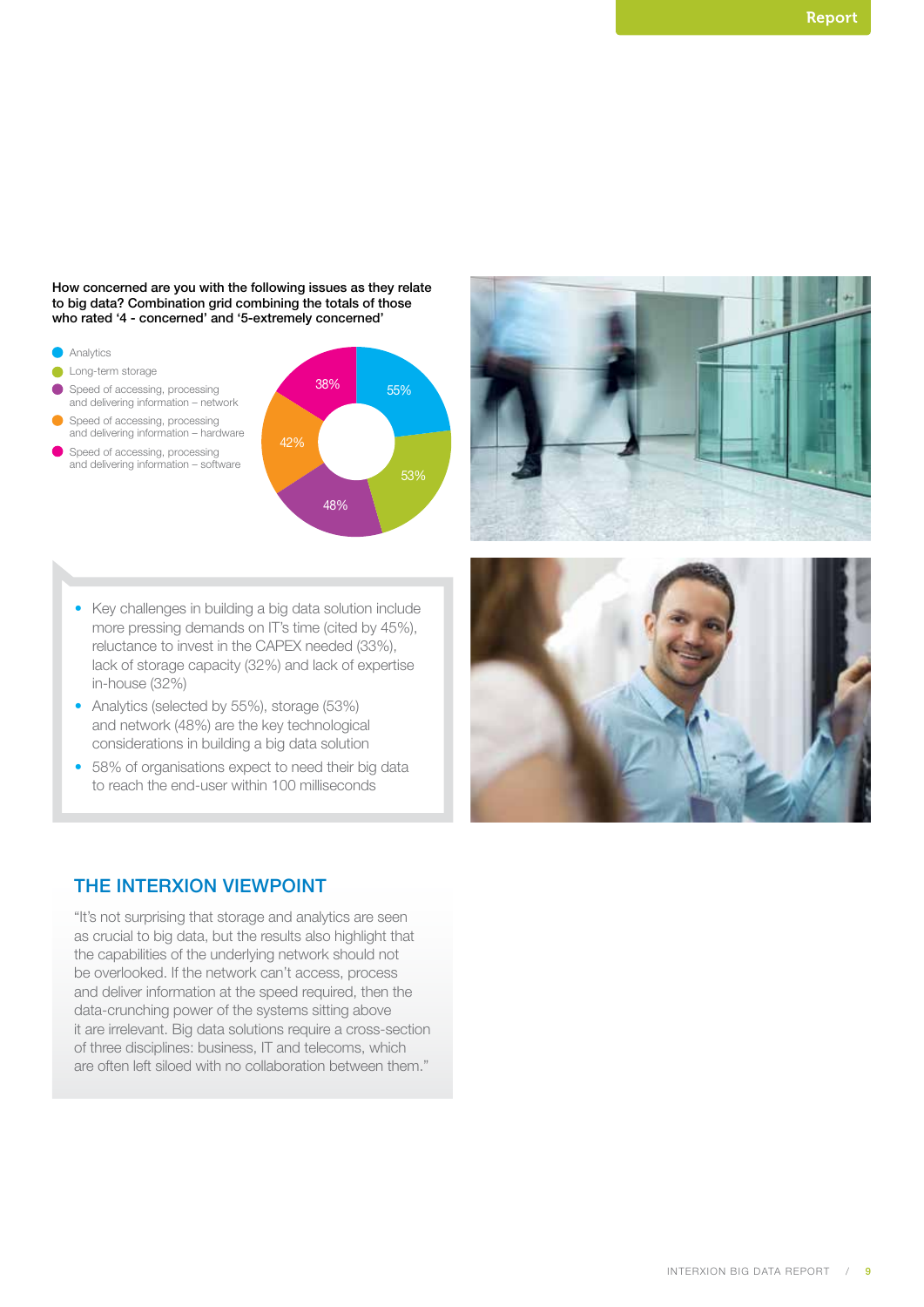How concerned are you with the following issues as they relate to big data? Combination grid combining the totals of those who rated '4 - concerned' and '5-extremely concerned'

- **Analytics**
- **C** Long-term storage
- Speed of accessing, processing and delivering information – network
- Speed of accessing, processing and delivering information – hardware
- Speed of accessing, processing and delivering information – software



- Key challenges in building a big data solution include more pressing demands on IT's time (cited by 45%), reluctance to invest in the CAPEX needed (33%), lack of storage capacity (32%) and lack of expertise in-house (32%)
- Analytics (selected by 55%), storage (53%) and network (48%) are the key technological considerations in building a big data solution
- 58% of organisations expect to need their big data to reach the end-user within 100 milliseconds



#### THE INTERXION VIEWPOINT

"It's not surprising that storage and analytics are seen as crucial to big data, but the results also highlight that the capabilities of the underlying network should not be overlooked. If the network can't access, process and deliver information at the speed required, then the data-crunching power of the systems sitting above it are irrelevant. Big data solutions require a cross-section of three disciplines: business, IT and telecoms, which are often left siloed with no collaboration between them."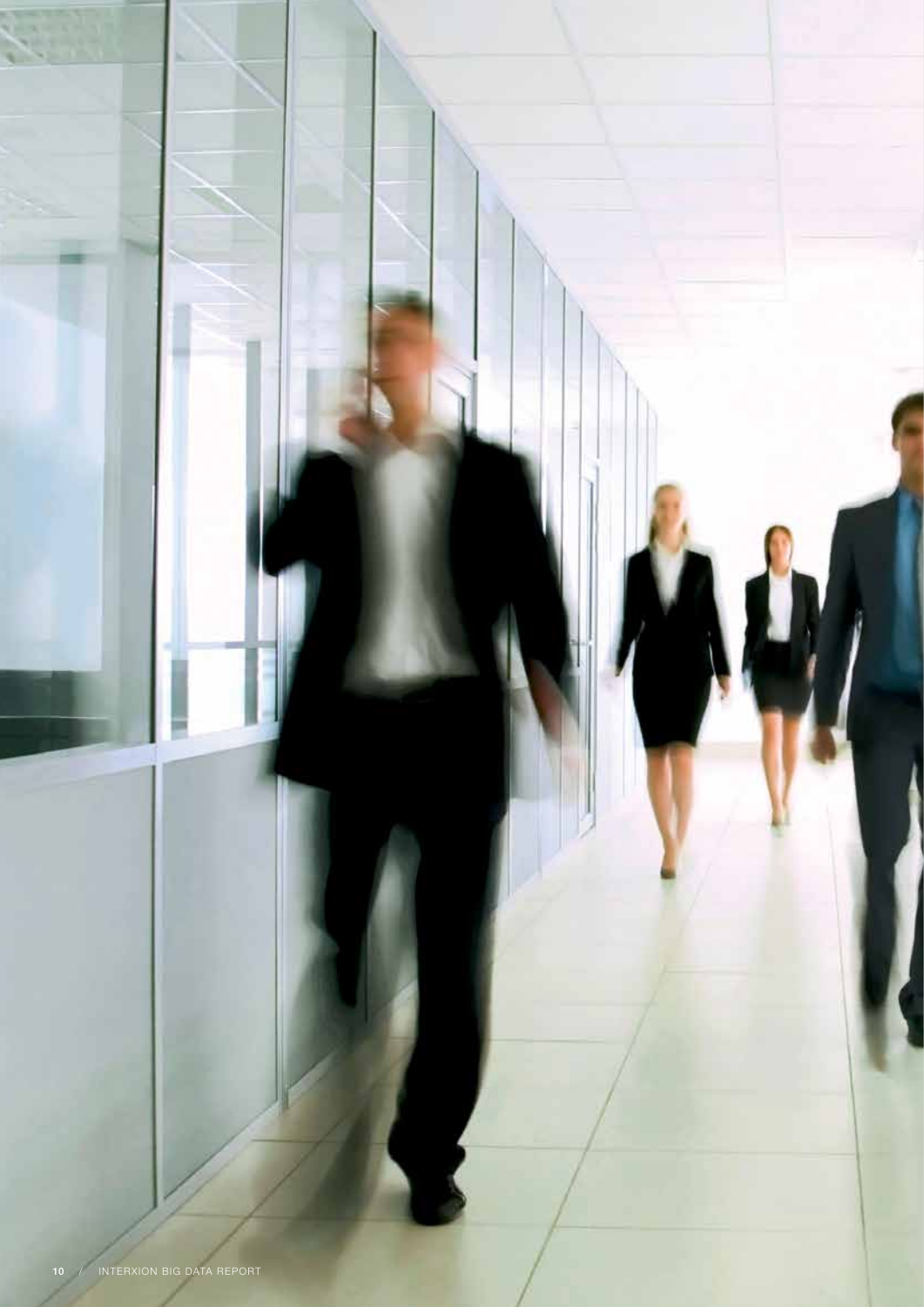/ INTERXION BIG DATA REPORT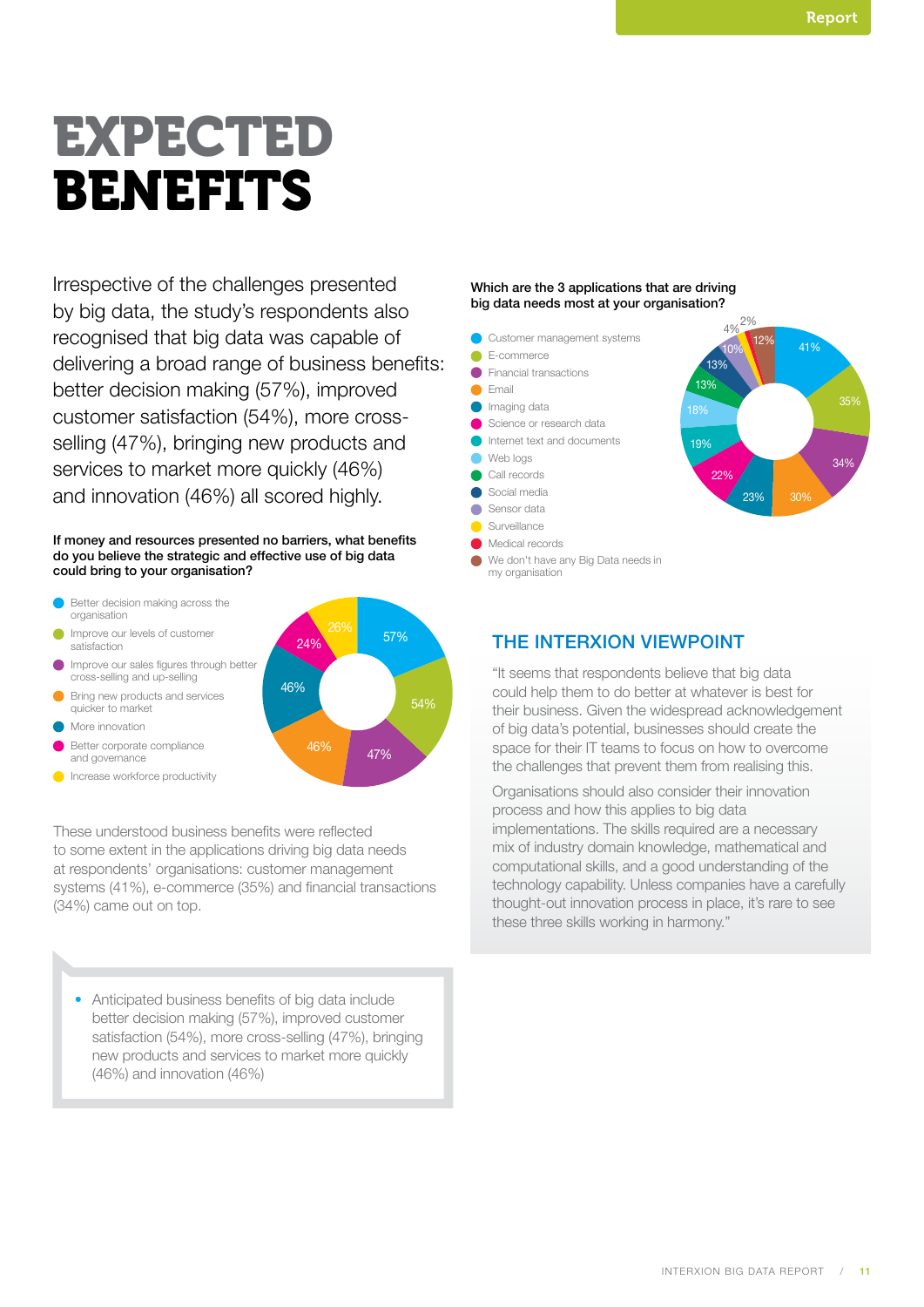41%

23%

4%2% 10%

22%

19%

18% 13% 13%

35%

34%

## EXPECTED BENEFITS

Irrespective of the challenges presented by big data, the study's respondents also recognised that big data was capable of delivering a broad range of business benefits: better decision making (57%), improved customer satisfaction (54%), more crossselling (47%), bringing new products and services to market more quickly (46%) and innovation (46%) all scored highly.

#### If money and resources presented no barriers, what benefits do you believe the strategic and effective use of big data could bring to your organisation?



**Increase workforce productivity** 

These understood business benefits were reflected to some extent in the applications driving big data needs at respondents' organisations: customer management systems (41%), e-commerce (35%) and financial transactions (34%) came out on top.

• Anticipated business benefits of big data include better decision making (57%), improved customer satisfaction (54%), more cross-selling (47%), bringing new products and services to market more quickly (46%) and innovation (46%)

#### Which are the 3 applications that are driving big data needs most at your organisation?

- Customer management systems
- E-commerce
- **C** Financial transactions
- $\blacksquare$  Email
- **Imaging data**
- Science or research data
- Internet text and documents
- Web logs
- Call records
- Social media
- Sensor data
- Surveillance
- **Medical records**
- We don't have any Big Data needs in my organisation

### THE INTERXION VIEWPOINT

"It seems that respondents believe that big data could help them to do better at whatever is best for their business. Given the widespread acknowledgement of big data's potential, businesses should create the space for their IT teams to focus on how to overcome the challenges that prevent them from realising this.

Organisations should also consider their innovation process and how this applies to big data implementations. The skills required are a necessary mix of industry domain knowledge, mathematical and computational skills, and a good understanding of the technology capability. Unless companies have a carefully thought-out innovation process in place, it's rare to see these three skills working in harmony."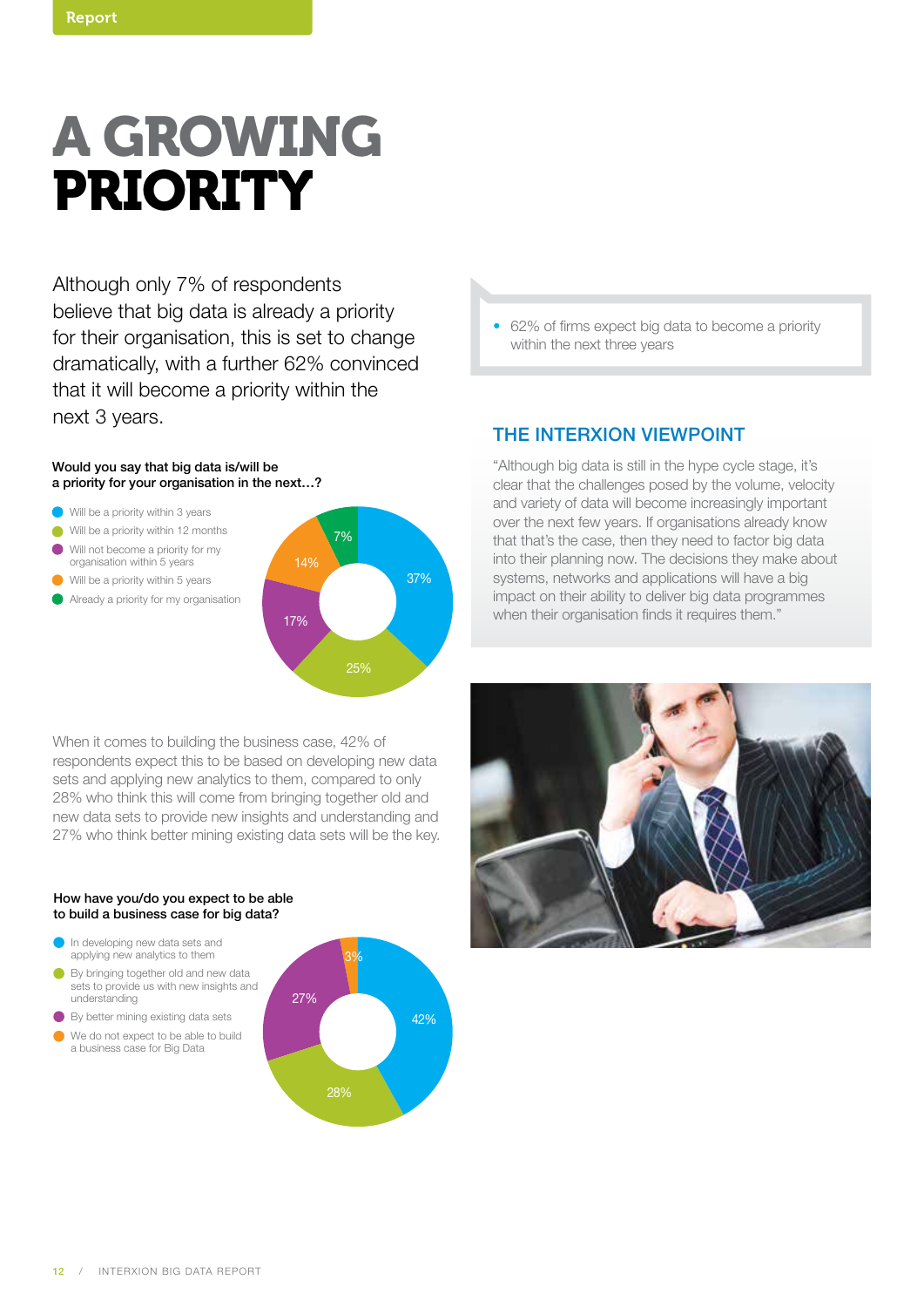## A GROWING PRIORITY

Although only 7% of respondents believe that big data is already a priority for their organisation, this is set to change dramatically, with a further 62% convinced that it will become a priority within the next 3 years.

#### Would you say that big data is/will be a priority for your organisation in the next…?



When it comes to building the business case, 42% of respondents expect this to be based on developing new data sets and applying new analytics to them, compared to only 28% who think this will come from bringing together old and new data sets to provide new insights and understanding and 27% who think better mining existing data sets will be the key.

#### How have you/do you expect to be able to build a business case for big data?

- **In developing new data sets and** applying new analytics to them
- By bringing together old and new data sets to provide us with new insights and understanding
- By better mining existing data sets
- We do not expect to be able to build a business case for Big Data



• 62% of firms expect big data to become a priority within the next three years

### THE INTERXION VIEWPOINT

"Although big data is still in the hype cycle stage, it's clear that the challenges posed by the volume, velocity and variety of data will become increasingly important over the next few years. If organisations already know that that's the case, then they need to factor big data into their planning now. The decisions they make about systems, networks and applications will have a big impact on their ability to deliver big data programmes when their organisation finds it requires them."

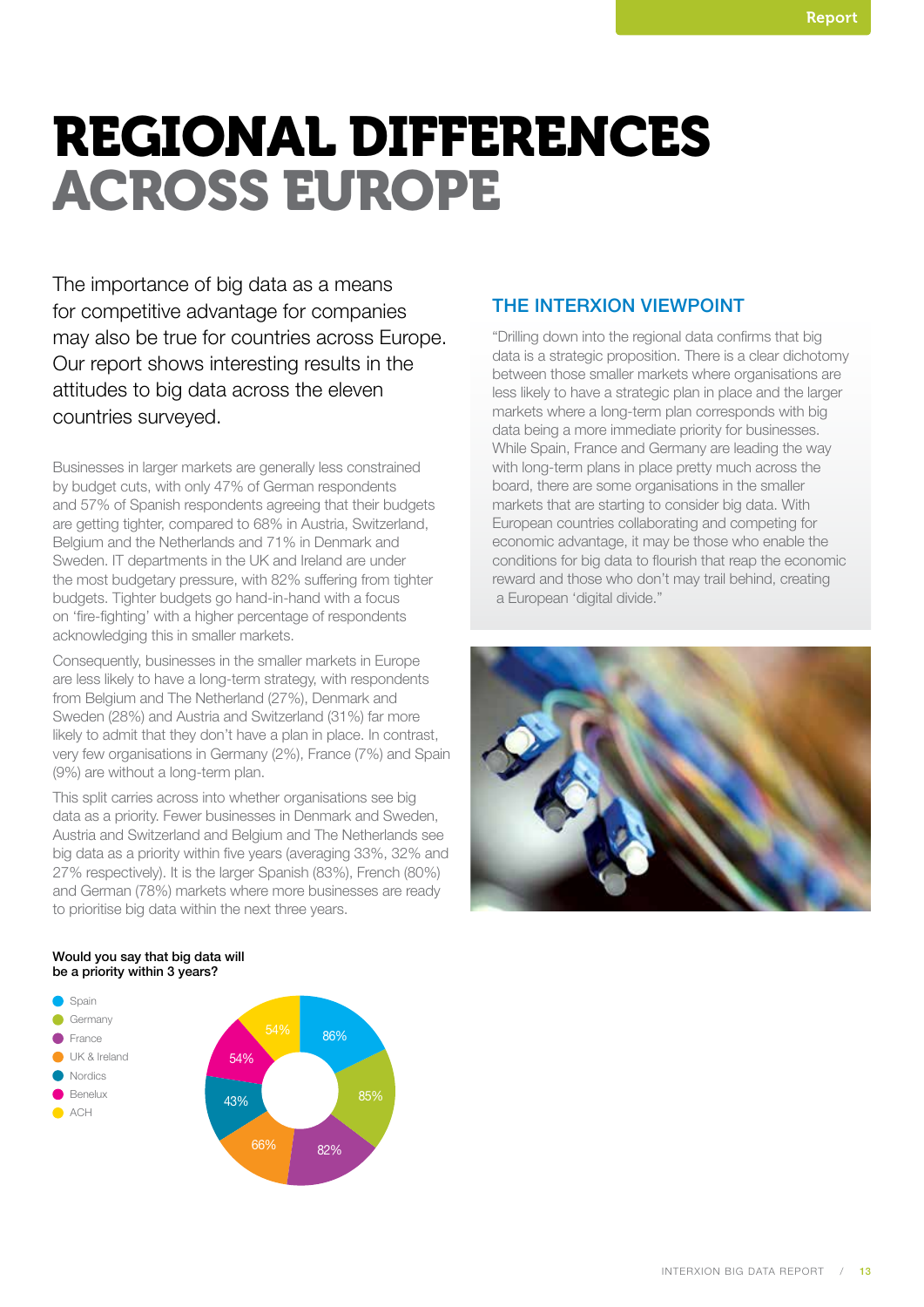### REGIONAL DIFFERENCES ACROSS EUROPE

The importance of big data as a means for competitive advantage for companies may also be true for countries across Europe. Our report shows interesting results in the attitudes to big data across the eleven countries surveyed.

Businesses in larger markets are generally less constrained by budget cuts, with only 47% of German respondents and 57% of Spanish respondents agreeing that their budgets are getting tighter, compared to 68% in Austria, Switzerland, Belgium and the Netherlands and 71% in Denmark and Sweden. IT departments in the UK and Ireland are under the most budgetary pressure, with 82% suffering from tighter budgets. Tighter budgets go hand-in-hand with a focus on 'fire-fighting' with a higher percentage of respondents acknowledging this in smaller markets.

Consequently, businesses in the smaller markets in Europe are less likely to have a long-term strategy, with respondents from Belgium and The Netherland (27%), Denmark and Sweden (28%) and Austria and Switzerland (31%) far more likely to admit that they don't have a plan in place. In contrast, very few organisations in Germany (2%), France (7%) and Spain (9%) are without a long-term plan.

This split carries across into whether organisations see big data as a priority. Fewer businesses in Denmark and Sweden, Austria and Switzerland and Belgium and The Netherlands see big data as a priority within five years (averaging 33%, 32% and 27% respectively). It is the larger Spanish (83%), French (80%) and German (78%) markets where more businesses are ready to prioritise big data within the next three years.

### THE INTERXION VIEWPOINT

"Drilling down into the regional data confirms that big data is a strategic proposition. There is a clear dichotomy between those smaller markets where organisations are less likely to have a strategic plan in place and the larger markets where a long-term plan corresponds with big data being a more immediate priority for businesses. While Spain, France and Germany are leading the way with long-term plans in place pretty much across the board, there are some organisations in the smaller markets that are starting to consider big data. With European countries collaborating and competing for economic advantage, it may be those who enable the conditions for big data to flourish that reap the economic reward and those who don't may trail behind, creating a European 'digital divide."



#### Would you say that big data will be a priority within 3 years?

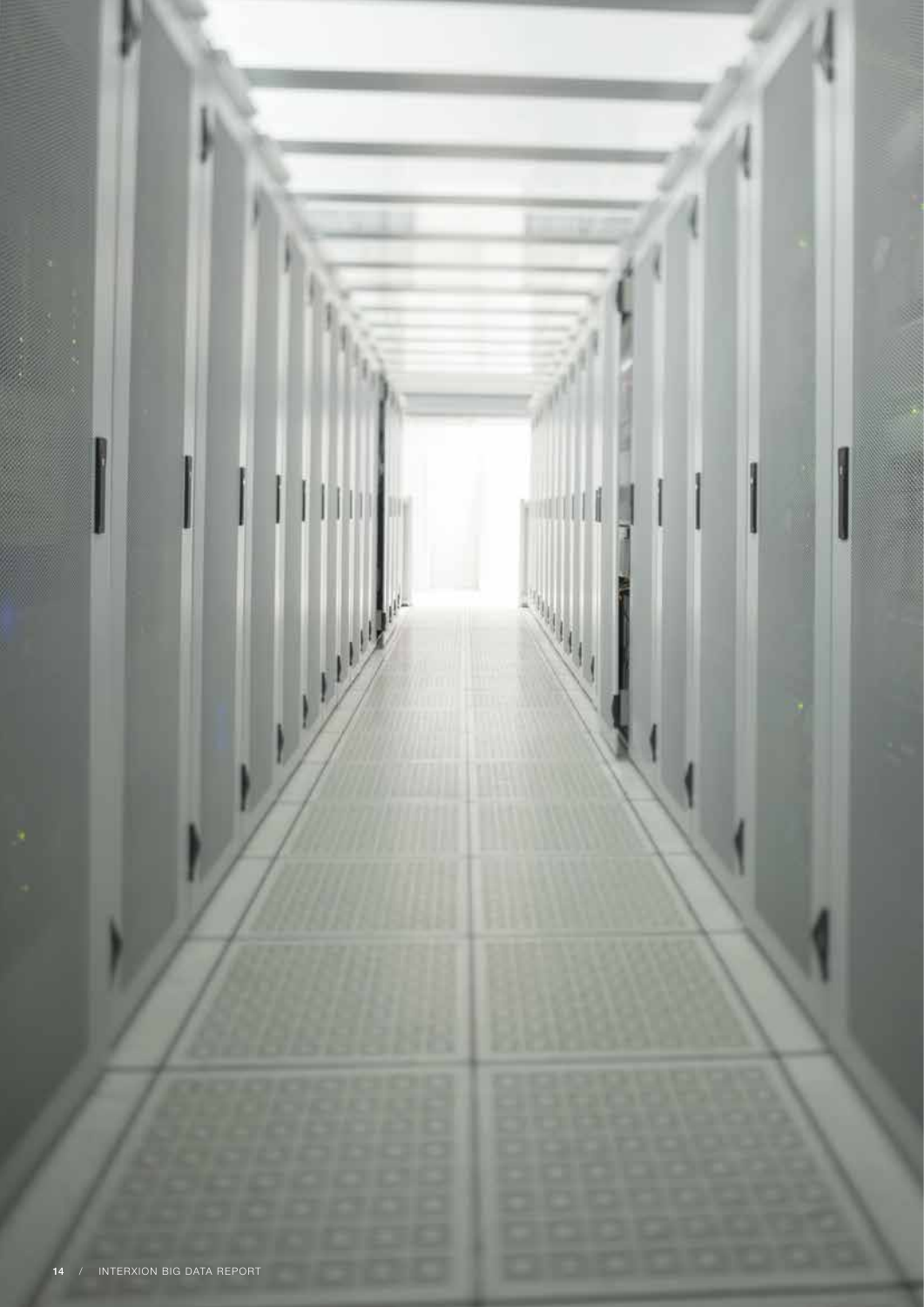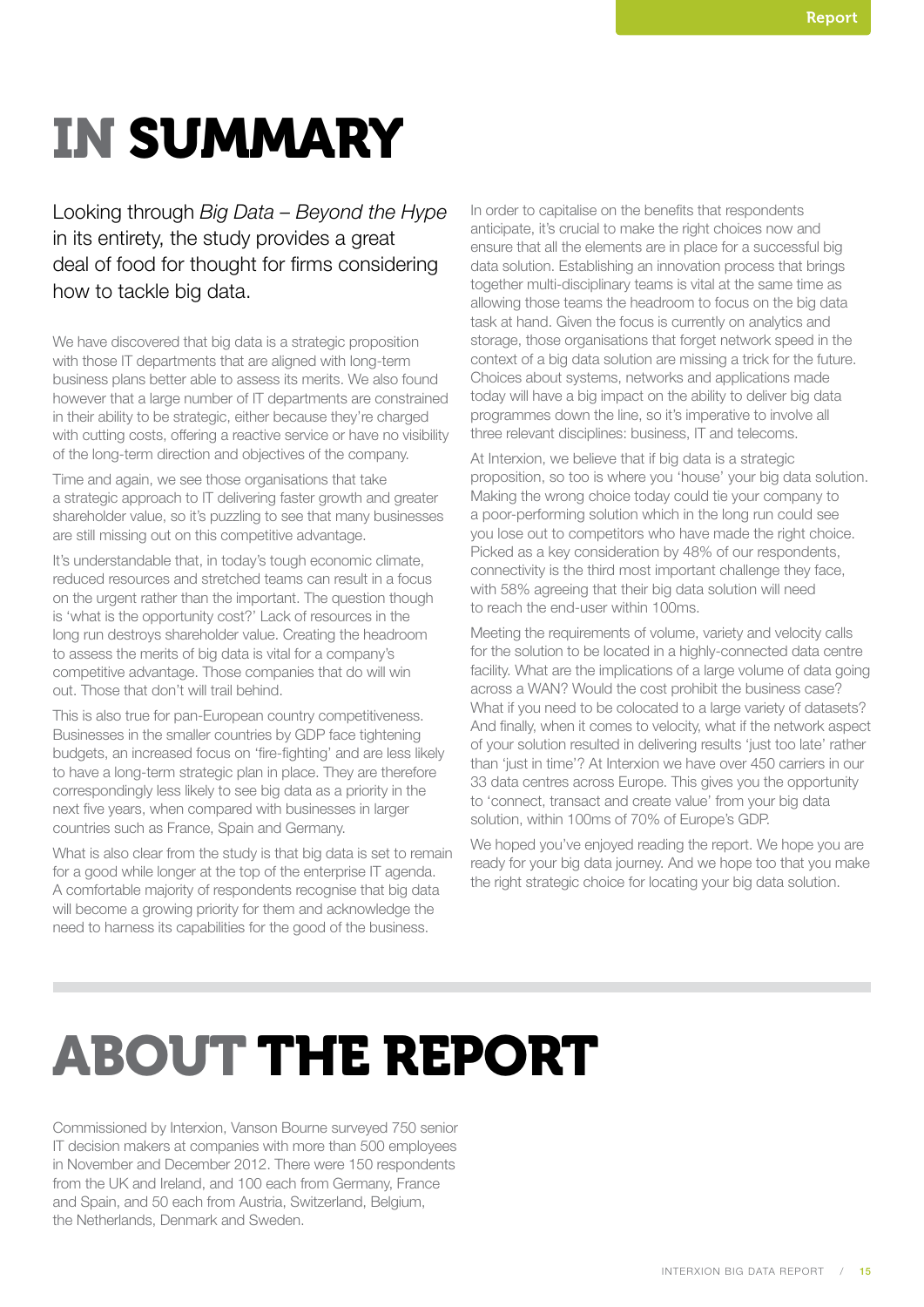## IN SUMMARY

Looking through *Big Data – Beyond the Hype* in its entirety, the study provides a great deal of food for thought for firms considering how to tackle big data.

We have discovered that big data is a strategic proposition with those IT departments that are aligned with long-term business plans better able to assess its merits. We also found however that a large number of IT departments are constrained in their ability to be strategic, either because they're charged with cutting costs, offering a reactive service or have no visibility of the long-term direction and objectives of the company.

Time and again, we see those organisations that take a strategic approach to IT delivering faster growth and greater shareholder value, so it's puzzling to see that many businesses are still missing out on this competitive advantage.

It's understandable that, in today's tough economic climate, reduced resources and stretched teams can result in a focus on the urgent rather than the important. The question though is 'what is the opportunity cost?' Lack of resources in the long run destroys shareholder value. Creating the headroom to assess the merits of big data is vital for a company's competitive advantage. Those companies that do will win out. Those that don't will trail behind.

This is also true for pan-European country competitiveness. Businesses in the smaller countries by GDP face tightening budgets, an increased focus on 'fire-fighting' and are less likely to have a long-term strategic plan in place. They are therefore correspondingly less likely to see big data as a priority in the next five years, when compared with businesses in larger countries such as France, Spain and Germany.

What is also clear from the study is that big data is set to remain for a good while longer at the top of the enterprise IT agenda. A comfortable majority of respondents recognise that big data will become a growing priority for them and acknowledge the need to harness its capabilities for the good of the business.

In order to capitalise on the benefits that respondents anticipate, it's crucial to make the right choices now and ensure that all the elements are in place for a successful big data solution. Establishing an innovation process that brings together multi-disciplinary teams is vital at the same time as allowing those teams the headroom to focus on the big data task at hand. Given the focus is currently on analytics and storage, those organisations that forget network speed in the context of a big data solution are missing a trick for the future. Choices about systems, networks and applications made today will have a big impact on the ability to deliver big data programmes down the line, so it's imperative to involve all three relevant disciplines: business, IT and telecoms.

At Interxion, we believe that if big data is a strategic proposition, so too is where you 'house' your big data solution. Making the wrong choice today could tie your company to a poor-performing solution which in the long run could see you lose out to competitors who have made the right choice. Picked as a key consideration by 48% of our respondents, connectivity is the third most important challenge they face, with 58% agreeing that their big data solution will need to reach the end-user within 100ms.

Meeting the requirements of volume, variety and velocity calls for the solution to be located in a highly-connected data centre facility. What are the implications of a large volume of data going across a WAN? Would the cost prohibit the business case? What if you need to be colocated to a large variety of datasets? And finally, when it comes to velocity, what if the network aspect of your solution resulted in delivering results 'just too late' rather than 'just in time'? At Interxion we have over 450 carriers in our 33 data centres across Europe. This gives you the opportunity to 'connect, transact and create value' from your big data solution, within 100ms of 70% of Europe's GDP.

We hoped you've enjoyed reading the report. We hope you are ready for your big data journey. And we hope too that you make the right strategic choice for locating your big data solution.

## ABOUT THE REPORT

Commissioned by Interxion, Vanson Bourne surveyed 750 senior IT decision makers at companies with more than 500 employees in November and December 2012. There were 150 respondents from the UK and Ireland, and 100 each from Germany, France and Spain, and 50 each from Austria, Switzerland, Belgium, the Netherlands, Denmark and Sweden.